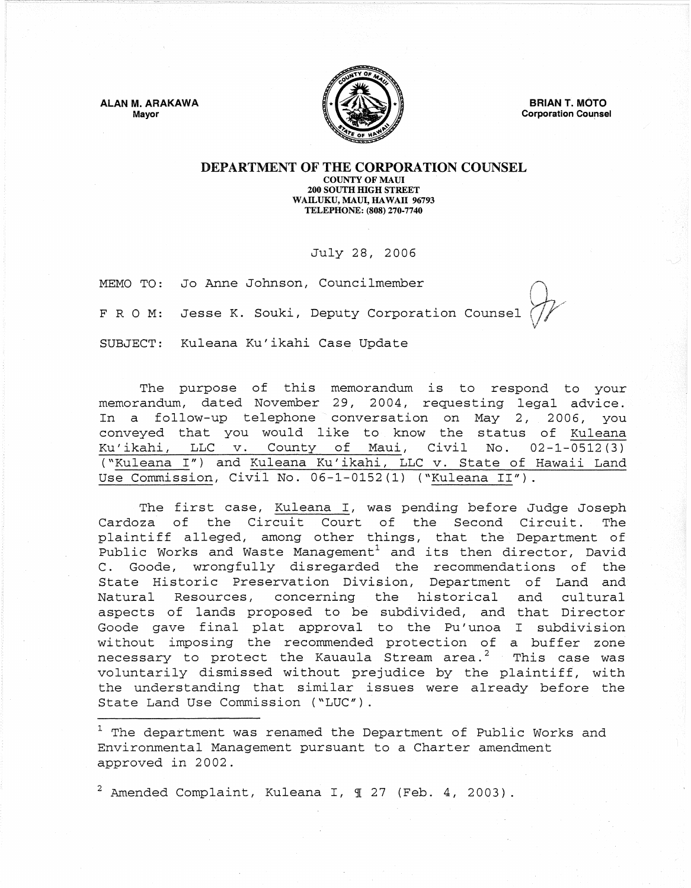ALAN M. ARAKAWA Mayor



BRIAN T. MOTO **Corporation Counsel** 

## DEPARTMENT OF THE CORPORATION COUNSEL COUNTY OF MAUl 200 SOUTH HIGH STREET WAILUKU, MAUl, HAWAII 96793 TELEPHONE: (808) 270-7740

## July 28, 2006

MEMO TO: Jo Anne Johnson, Councilmember

FRO M: Jesse K. Souki, Deputy Corporation Counsel

SUBJECT: Kuleana Ku'ikahi Case Update

The purpose of this memorandum is to respond to your memorandum, dated November 29, 2004, requesting legal advice. In a follow-up telephone conversation on May 2, 2006, you conveyed that you would like to know the status of Kuleana Ku'ikahi, LLC v. County of Maui, Civil No. 02-1-0512(3) ("Kuleana *I")* and Kuleana Ku' ikahi, LLC v. State of Hawaii Land Use Commission, Civil No. 06-1-0152(1) ("Kuleana II").

The first case, Kuleana I, was pending before Judge Joseph Cardoza of the Circuit Court of the Second Circuit. The plaintiff alleged, among other things, that the' Department of Public Works and Waste Management<sup>1</sup> and its then director, David<br>C. Goode, wrongfully disregarded the recommendations of the Goode, wrongfully disregarded the recommendations of the State Historic Preservation Division, Department of Land and Natural Resources, concerning the historical and cultural aspects of lands proposed to be subdivided, and that Director Goode gave final plat approval to the Pu'unoa I subdivision wi thout imposing the recommended protection of a buffer zone necessary to protect the Kauaula Stream area.<sup>2</sup> This case was voluntarily dismissed without prejudice by the plaintiff, with the understanding that similar issues were already before the State Land Use Commission *("LUC").* 

<sup>1</sup> The department was renamed the Department of Public Works and Environmental Management pursuant to a Charter amendment approved in 2002.

 $2$  Amended Complaint, Kuleana I,  $\text{\textsterling}~ 27$  (Feb. 4, 2003).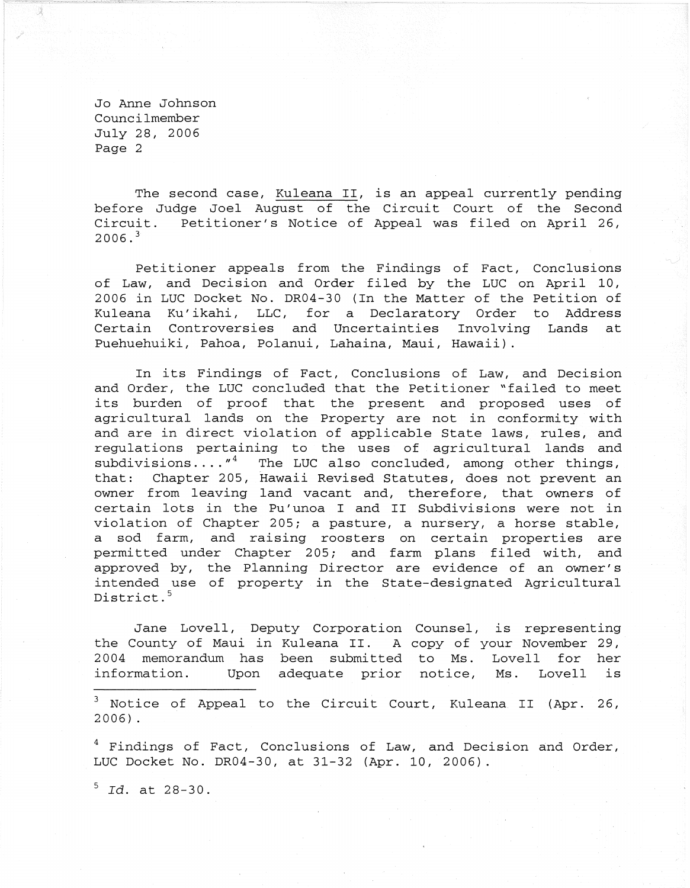Jo Anne Johnson Councilmember July 28, 2006 Page 2

The second case, Kuleana II, is an appeal currently pending before Judge Joel August of the Circuit Court of the Second Circuit. Petitioner's Notice of Appeal was filed on April 26,  $2006.$ <sup>3</sup>

Petitioner appeals from the Findings of Fact, Conclusions of Law, and Decision and Order filed by the LUC on April 10, 2006 in LUC Docket No. DR04-30 (In the Matter of the Petition of Kuleana Ku'ikahi, LLC, for a Declaratory Order to Address Certain Controversies and Uncertainties Involving Lands at Puehuehuiki, Pahoa, Polanui, Lahaina, Maui, Hawaii).

In its Findings of Fact, Conclusions of Law, and Decision and Order, the LUC concluded that the Petitioner "failed to meet its burden of proof that the present and proposed uses of agricultural lands on the Property are not in conformity with and are in direct violation of applicable State laws, rules, and regulations pertaining to the uses of agricultural lands and subdivisions  $\dots$ ,  $4^4$  The LUC also concluded, among other things, that: Chapter 205, Hawaii Revised Statutes, does not prevent an owner from leaving land vacant and, therefore, that owners of certain lots in the Pu' unoa I and II Subdivisions were not in violation of Chapter 205; a pasture, a nursery, a horse stable, a sod farm, and raising roosters on certain properties are permitted under Chapter 205; and farm plans filed with, and approved by, the Planning Director are evidence of an owner's intended use of property in the State-designated Agricultural District.<sup>5</sup>

Jane Lovell, Deputy Corporation Counsel, is representing the County of Maui in Kuleana II. A copy of your November 29, 2004 memorandum has been submitted to Ms. Lovell for her information. Upon adequate prior notice, Ms. Lovell is

 $3$  Notice of Appeal to the Circuit Court, Kuleana II (Apr. 26, 2006).

<sup>4</sup> Findings of Fact, Conclusions of Law, and Decision and Order, LUC Docket No. DR04-30, at 31-32 (Apr. 10, 2006).

5 *rd.* at 28-30.